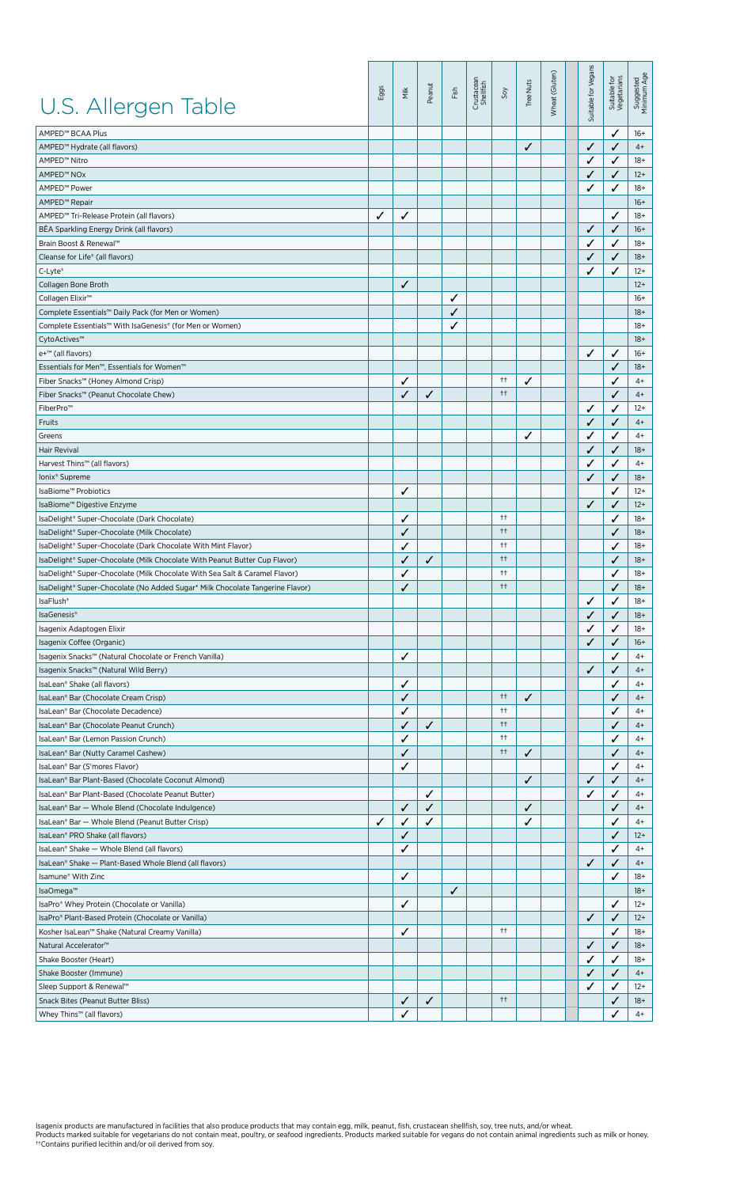| U.S. Allergen Table                                                           | Eggs | Nilk         | Peanut | Fish | Crustacean<br>Shellfish | 50y                 | Tree Nuts | Wheat (Gluten) | Suitable for Vegans | Suitable for<br>Vegetarians | Suggested<br>Minimum Age |
|-------------------------------------------------------------------------------|------|--------------|--------|------|-------------------------|---------------------|-----------|----------------|---------------------|-----------------------------|--------------------------|
| AMPED™ BCAA Plus                                                              |      |              |        |      |                         |                     |           |                |                     | ✓                           | $16+$                    |
| AMPED™ Hydrate (all flavors)                                                  |      |              |        |      |                         |                     | ✓         |                | ✓                   | ✓                           | $4+$                     |
| AMPED™ Nitro                                                                  |      |              |        |      |                         |                     |           |                | ✓                   | ✓                           | $18+$                    |
| AMPED™ NOx                                                                    |      |              |        |      |                         |                     |           |                | ✓                   | ✓                           | $12+$                    |
| AMPED™ Power                                                                  |      |              |        |      |                         |                     |           |                | ✓                   | ✓                           | $18+$                    |
| AMPED <sup>™</sup> Repair                                                     |      |              |        |      |                         |                     |           |                |                     |                             | $16+$                    |
| AMPED™ Tri-Release Protein (all flavors)                                      | ✓    | ✓            |        |      |                         |                     |           |                |                     | ✓                           | $18+$                    |
| BEA Sparkling Energy Drink (all flavors)                                      |      |              |        |      |                         |                     |           |                | ✓                   | ✓                           | $16+$                    |
| Brain Boost & Renewal™                                                        |      |              |        |      |                         |                     |           |                | ✓                   | ✓                           | $18+$                    |
| Cleanse for Life® (all flavors)                                               |      |              |        |      |                         |                     |           |                | ✓                   | ✓                           | $18+$                    |
| C-Lyte®                                                                       |      |              |        |      |                         |                     |           |                | ✓                   | ✓                           | $12+$                    |
| Collagen Bone Broth                                                           |      | ✓            |        |      |                         |                     |           |                |                     |                             | $12+$                    |
| Collagen Elixir <sup>™</sup>                                                  |      |              |        | ✓    |                         |                     |           |                |                     |                             | $16+$                    |
|                                                                               |      |              |        | ✓    |                         |                     |           |                |                     |                             | $18+$                    |
| Complete Essentials™ Daily Pack (for Men or Women)                            |      |              |        |      |                         |                     |           |                |                     |                             |                          |
| Complete Essentials™ With IsaGenesis® (for Men or Women)                      |      |              |        | ✓    |                         |                     |           |                |                     |                             | 18+                      |
| CytoActives™                                                                  |      |              |        |      |                         |                     |           |                |                     |                             | $18+$                    |
| e+™ (all flavors)                                                             |      |              |        |      |                         |                     |           |                | ✓                   | ✓                           | $16+$                    |
| Essentials for Men <sup>™</sup> , Essentials for Women™                       |      |              |        |      |                         |                     |           |                |                     | ✓                           | $18+$                    |
| Fiber Snacks™ (Honey Almond Crisp)                                            |      | ✓            |        |      |                         | $^{++}$             | ✓         |                |                     | ✓                           | $4+$                     |
| Fiber Snacks™ (Peanut Chocolate Chew)                                         |      | $\checkmark$ | ✓      |      |                         | $^{++}$             |           |                |                     | ✓                           | $4+$                     |
| FiberPro™                                                                     |      |              |        |      |                         |                     |           |                | ✓                   | ✓                           | $12+$                    |
| Fruits                                                                        |      |              |        |      |                         |                     |           |                | ✓                   | ✓                           | $4+$                     |
| Greens                                                                        |      |              |        |      |                         |                     | ✓         |                | ✓                   | ✓                           | $4+$                     |
| Hair Revival                                                                  |      |              |        |      |                         |                     |           |                | ✓                   | ✓                           | $18+$                    |
| Harvest Thins™ (all flavors)                                                  |      |              |        |      |                         |                     |           |                | ✓                   | ✓                           | $4+$                     |
| Ionix <sup>®</sup> Supreme                                                    |      |              |        |      |                         |                     |           |                | ✓                   | ✓                           | $18+$                    |
| IsaBiome™ Probiotics                                                          |      | ✓            |        |      |                         |                     |           |                |                     | ✓                           | $12+$                    |
| IsaBiome™ Digestive Enzyme                                                    |      |              |        |      |                         |                     |           |                | ✓                   | ✓                           | $12+$                    |
| IsaDelight® Super-Chocolate (Dark Chocolate)                                  |      | ✓            |        |      |                         | $^{++}$             |           |                |                     | ✓                           | $18+$                    |
| IsaDelight® Super-Chocolate (Milk Chocolate)                                  |      | ✓            |        |      |                         | $^{++}$             |           |                |                     | ✓                           | $18+$                    |
| IsaDelight® Super-Chocolate (Dark Chocolate With Mint Flavor)                 |      | ✓            |        |      |                         | $++$                |           |                |                     | ✓                           | $18+$                    |
| IsaDelight® Super-Chocolate (Milk Chocolate With Peanut Butter Cup Flavor)    |      | ✓            | ✓      |      |                         | $^{\dagger\dagger}$ |           |                |                     | ✓                           | $18+$                    |
| IsaDelight® Super-Chocolate (Milk Chocolate With Sea Salt & Caramel Flavor)   |      | $\checkmark$ |        |      |                         | $^{+}$              |           |                |                     | ✓                           | $18+$                    |
| IsaDelight® Super-Chocolate (No Added Sugar* Milk Chocolate Tangerine Flavor) |      | ✓            |        |      |                         | $^{\dagger\dagger}$ |           |                |                     | ✓                           | $18+$                    |
| IsaFlush <sup>®</sup>                                                         |      |              |        |      |                         |                     |           |                | ✓                   | ✓                           | $18+$                    |
| IsaGenesis®                                                                   |      |              |        |      |                         |                     |           |                | ✓                   | ✓                           | $18+$                    |
| Isagenix Adaptogen Elixir                                                     |      |              |        |      |                         |                     |           |                |                     | ✓                           | $18+$                    |
| Isagenix Coffee (Organic)                                                     |      |              |        |      |                         |                     |           |                |                     | ✓                           | $16+$                    |
|                                                                               |      |              |        |      |                         |                     |           |                |                     |                             |                          |
| Isagenix Snacks™ (Natural Chocolate or French Vanilla)                        |      | ✓            |        |      |                         |                     |           |                |                     | ✓                           | 4+                       |
| Isagenix Snacks™ (Natural Wild Berry)                                         |      |              |        |      |                         |                     |           |                | ✓                   | $\checkmark$                | $4+$                     |
| IsaLean® Shake (all flavors)                                                  |      | ✓            |        |      |                         |                     |           |                |                     | ✓                           | $4+$                     |
| IsaLean® Bar (Chocolate Cream Crisp)                                          |      | ✓            |        |      |                         | $^{++}$             | ✓         |                |                     | ✓                           | $4+$                     |
| IsaLean® Bar (Chocolate Decadence)                                            |      | $\checkmark$ |        |      |                         | $^{++}$             |           |                |                     | ✓                           | $4+$                     |
| IsaLean® Bar (Chocolate Peanut Crunch)                                        |      | ✓            | ✓      |      |                         | $^{++}$             |           |                |                     | ✓                           | $4+$                     |
| IsaLean® Bar (Lemon Passion Crunch)                                           |      | ✓            |        |      |                         | $^{++}$             |           |                |                     | ✓                           | $4+$                     |
| IsaLean® Bar (Nutty Caramel Cashew)                                           |      | ✓            |        |      |                         | $^{++}$             | ✓         |                |                     | ✓                           | $4+$                     |
| IsaLean® Bar (S'mores Flavor)                                                 |      | ✓            |        |      |                         |                     |           |                |                     | ✓                           | $4+$                     |
| IsaLean® Bar Plant-Based (Chocolate Coconut Almond)                           |      |              |        |      |                         |                     | ✓         |                | ✓                   | ✓                           | $4+$                     |
| IsaLean® Bar Plant-Based (Chocolate Peanut Butter)                            |      |              | ✓      |      |                         |                     |           |                | ✓                   | ✓                           | $4+$                     |
| IsaLean® Bar - Whole Blend (Chocolate Indulgence)                             |      | ✓            | ✓      |      |                         |                     | ✓         |                |                     | ✓                           | $4+$                     |
| IsaLean® Bar - Whole Blend (Peanut Butter Crisp)                              | ✓    | ✓            | ✓      |      |                         |                     | ✓         |                |                     | ✓                           | $4+$                     |
| IsaLean® PRO Shake (all flavors)                                              |      | ✓            |        |      |                         |                     |           |                |                     | ✓                           | $12+$                    |
| IsaLean® Shake - Whole Blend (all flavors)                                    |      | ✓            |        |      |                         |                     |           |                |                     | ✓                           | $4+$                     |
| IsaLean® Shake - Plant-Based Whole Blend (all flavors)                        |      |              |        |      |                         |                     |           |                | ✓                   | ✓                           | $4+$                     |
| Isamune® With Zinc                                                            |      | ✓            |        |      |                         |                     |           |                |                     | ✓                           | $18+$                    |
| IsaOmega™                                                                     |      |              |        | ✓    |                         |                     |           |                |                     |                             | $18+$                    |
| IsaPro® Whey Protein (Chocolate or Vanilla)                                   |      | ✓            |        |      |                         |                     |           |                |                     | ✓                           | $12+$                    |
| IsaPro® Plant-Based Protein (Chocolate or Vanilla)                            |      |              |        |      |                         |                     |           |                | ✓                   | ✓                           | $12+$                    |
| Kosher IsaLean™ Shake (Natural Creamy Vanilla)                                |      | ✓            |        |      |                         | $++$                |           |                |                     | ✓                           | $18+$                    |
| Natural Accelerator <sup>™</sup>                                              |      |              |        |      |                         |                     |           |                | ✓                   | ✓                           | $18+$                    |
| Shake Booster (Heart)                                                         |      |              |        |      |                         |                     |           |                | ✓                   | ✓                           | $18+$                    |
| Shake Booster (Immune)                                                        |      |              |        |      |                         |                     |           |                | ✓                   | ✓                           | $4+$                     |
|                                                                               |      |              |        |      |                         |                     |           |                | ✓                   |                             | $12+$                    |
| Sleep Support & Renewal™                                                      |      |              |        |      |                         | $^{++}$             |           |                |                     | ✓                           |                          |
| Snack Bites (Peanut Butter Bliss)                                             |      | ✓            | ✓      |      |                         |                     |           |                |                     | ✓                           | 18+                      |
| Whey Thins™ (all flavors)                                                     |      | ✓            |        |      |                         |                     |           |                |                     | ✓                           | $4+$                     |

lsagenix products are manufactured in facilities that also produce products that may contain egg, milk, peanut, fish, crustacean shellfish, soy, tree nuts, and/or wheat.<br>Products marked suitable for vegetarians do not cont